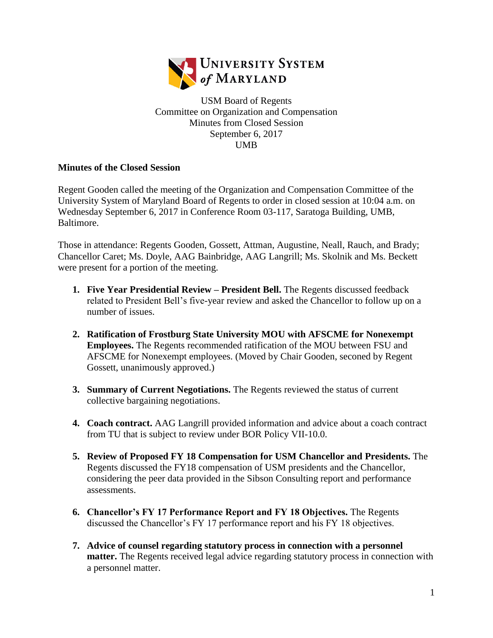

USM Board of Regents Committee on Organization and Compensation Minutes from Closed Session September 6, 2017 UMB

## **Minutes of the Closed Session**

Regent Gooden called the meeting of the Organization and Compensation Committee of the University System of Maryland Board of Regents to order in closed session at 10:04 a.m. on Wednesday September 6, 2017 in Conference Room 03-117, Saratoga Building, UMB, Baltimore.

Those in attendance: Regents Gooden, Gossett, Attman, Augustine, Neall, Rauch, and Brady; Chancellor Caret; Ms. Doyle, AAG Bainbridge, AAG Langrill; Ms. Skolnik and Ms. Beckett were present for a portion of the meeting.

- **1. Five Year Presidential Review – President Bell.** The Regents discussed feedback related to President Bell's five-year review and asked the Chancellor to follow up on a number of issues.
- **2. Ratification of Frostburg State University MOU with AFSCME for Nonexempt Employees.** The Regents recommended ratification of the MOU between FSU and AFSCME for Nonexempt employees. (Moved by Chair Gooden, seconed by Regent Gossett, unanimously approved.)
- **3. Summary of Current Negotiations.** The Regents reviewed the status of current collective bargaining negotiations.
- **4. Coach contract.** AAG Langrill provided information and advice about a coach contract from TU that is subject to review under BOR Policy VII-10.0.
- **5. Review of Proposed FY 18 Compensation for USM Chancellor and Presidents.** The Regents discussed the FY18 compensation of USM presidents and the Chancellor, considering the peer data provided in the Sibson Consulting report and performance assessments.
- **6. Chancellor's FY 17 Performance Report and FY 18 Objectives.** The Regents discussed the Chancellor's FY 17 performance report and his FY 18 objectives.
- **7. Advice of counsel regarding statutory process in connection with a personnel matter.** The Regents received legal advice regarding statutory process in connection with a personnel matter.